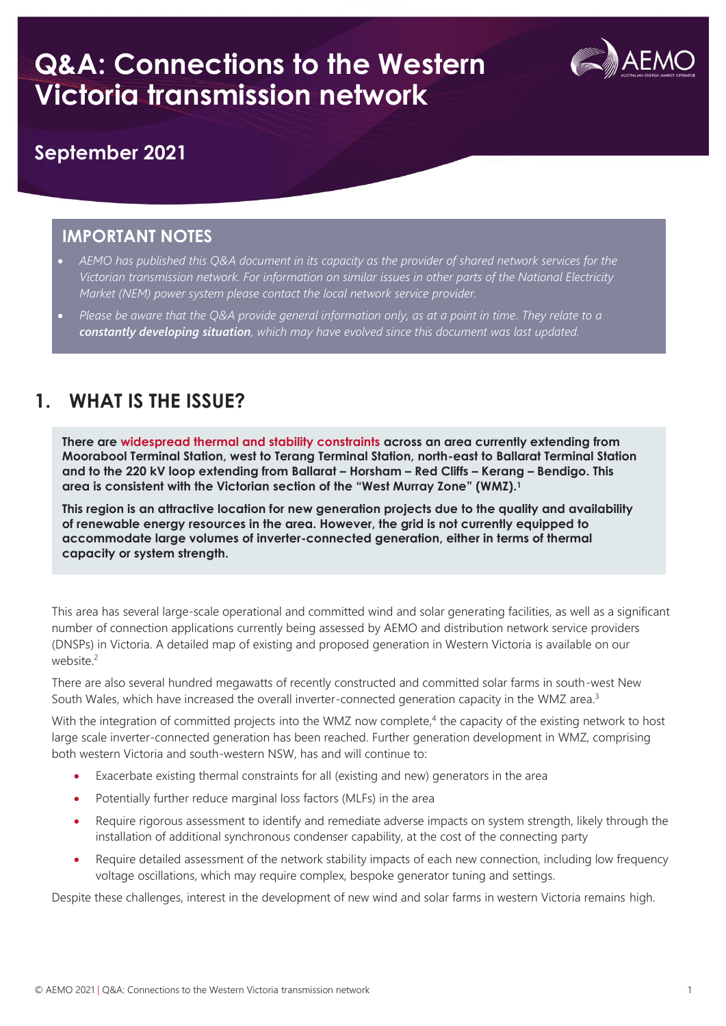

### **September 2021**

#### **IMPORTANT NOTES**

- *AEMO has published this Q&A document in its capacity as the provider of shared network services for the Victorian transmission network. For information on similar issues in other parts of the National Electricity Market (NEM) power system please contact the local network service provider.*
- *Please be aware that the Q&A provide general information only, as at a point in time. They relate to a constantly developing situation, which may have evolved since this document was last updated.*

### **1. WHAT IS THE ISSUE?**

**There are widespread thermal and stability constraints across an area currently extending from Moorabool Terminal Station, west to Terang Terminal Station, north-east to Ballarat Terminal Station and to the 220 kV loop extending from Ballarat – Horsham – Red Cliffs – Kerang – Bendigo. This area is consistent with the Victorian section of the "West Murray Zone" (WMZ).<sup>1</sup>**

**This region is an attractive location for new generation projects due to the quality and availability of renewable energy resources in the area. However, the grid is not currently equipped to accommodate large volumes of inverter-connected generation, either in terms of thermal capacity or system strength.**

This area has several large-scale operational and committed wind and solar generating facilities, as well as a significant number of connection applications currently being assessed by AEMO and distribution network service providers (DNSPs) in Victoria. A detailed map of existing and proposed generation in Western Victoria is available on our website. 2

There are also several hundred megawatts of recently constructed and committed solar farms in south-west New South Wales, which have increased the overall inverter-connected generation capacity in the WMZ area.<sup>3</sup>

With the integration of committed projects into the WMZ now complete,<sup>4</sup> the capacity of the existing network to host large scale inverter-connected generation has been reached. Further generation development in WMZ, comprising both western Victoria and south-western NSW, has and will continue to:

- Exacerbate existing thermal constraints for all (existing and new) generators in the area
- Potentially further reduce marginal loss factors (MLFs) in the area
- Require rigorous assessment to identify and remediate adverse impacts on system strength, likely through the installation of additional synchronous condenser capability, at the cost of the connecting party
- Require detailed assessment of the network stability impacts of each new connection, including low frequency voltage oscillations, which may require complex, bespoke generator tuning and settings.

Despite these challenges, interest in the development of new wind and solar farms in western Victoria remains high.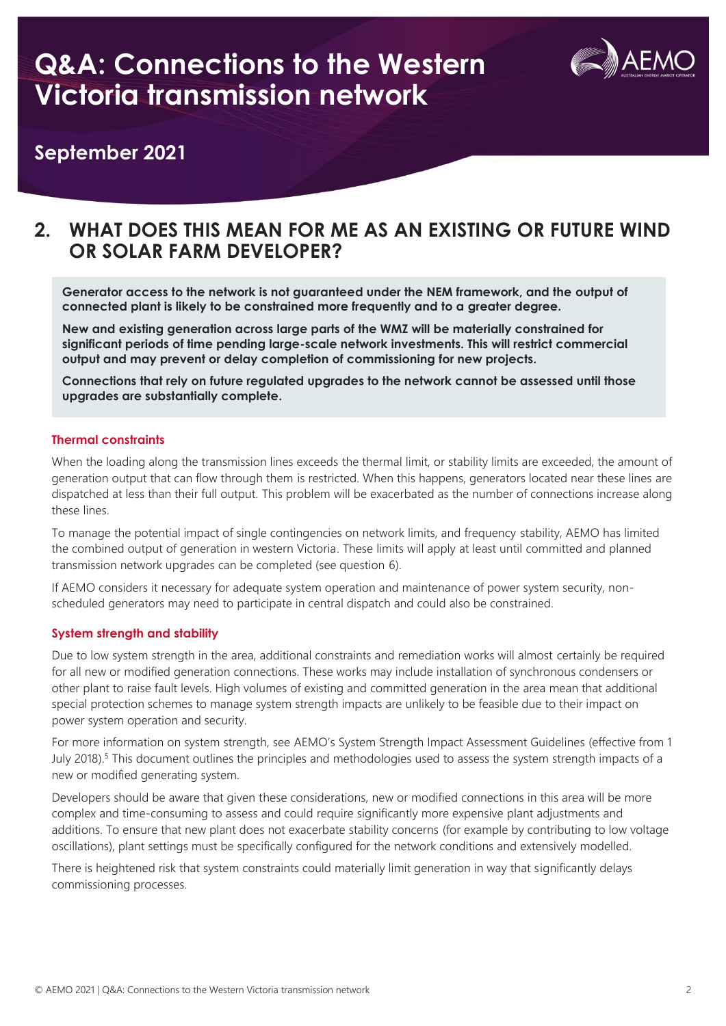

#### **September 2021**

#### **2. WHAT DOES THIS MEAN FOR ME AS AN EXISTING OR FUTURE WIND OR SOLAR FARM DEVELOPER?**

**Generator access to the network is not guaranteed under the NEM framework, and the output of connected plant is likely to be constrained more frequently and to a greater degree.**

**New and existing generation across large parts of the WMZ will be materially constrained for significant periods of time pending large-scale network investments. This will restrict commercial output and may prevent or delay completion of commissioning for new projects.** 

**Connections that rely on future regulated upgrades to the network cannot be assessed until those upgrades are substantially complete.**

#### **Thermal constraints**

When the loading along the transmission lines exceeds the thermal limit, or stability limits are exceeded, the amount of generation output that can flow through them is restricted. When this happens, generators located near these lines are dispatched at less than their full output. This problem will be exacerbated as the number of connections increase along these lines.

To manage the potential impact of single contingencies on network limits, and frequency stability, AEMO has limited the combined output of generation in western Victoria. These limits will apply at least until committed and planned transmission network upgrades can be completed (see question 6).

If AEMO considers it necessary for adequate system operation and maintenance of power system security, nonscheduled generators may need to participate in central dispatch and could also be constrained.

#### **System strength and stability**

Due to low system strength in the area, additional constraints and remediation works will almost certainly be required for all new or modified generation connections. These works may include installation of synchronous condensers or other plant to raise fault levels. High volumes of existing and committed generation in the area mean that additional special protection schemes to manage system strength impacts are unlikely to be feasible due to their impact on power system operation and security.

For more information on system strength, see AEMO's System Strength Impact Assessment Guidelines (effective from 1 July 2018).<sup>5</sup> This document outlines the principles and methodologies used to assess the system strength impacts of a new or modified generating system.

Developers should be aware that given these considerations, new or modified connections in this area will be more complex and time-consuming to assess and could require significantly more expensive plant adjustments and additions. To ensure that new plant does not exacerbate stability concerns (for example by contributing to low voltage oscillations), plant settings must be specifically configured for the network conditions and extensively modelled.

There is heightened risk that system constraints could materially limit generation in way that significantly delays commissioning processes.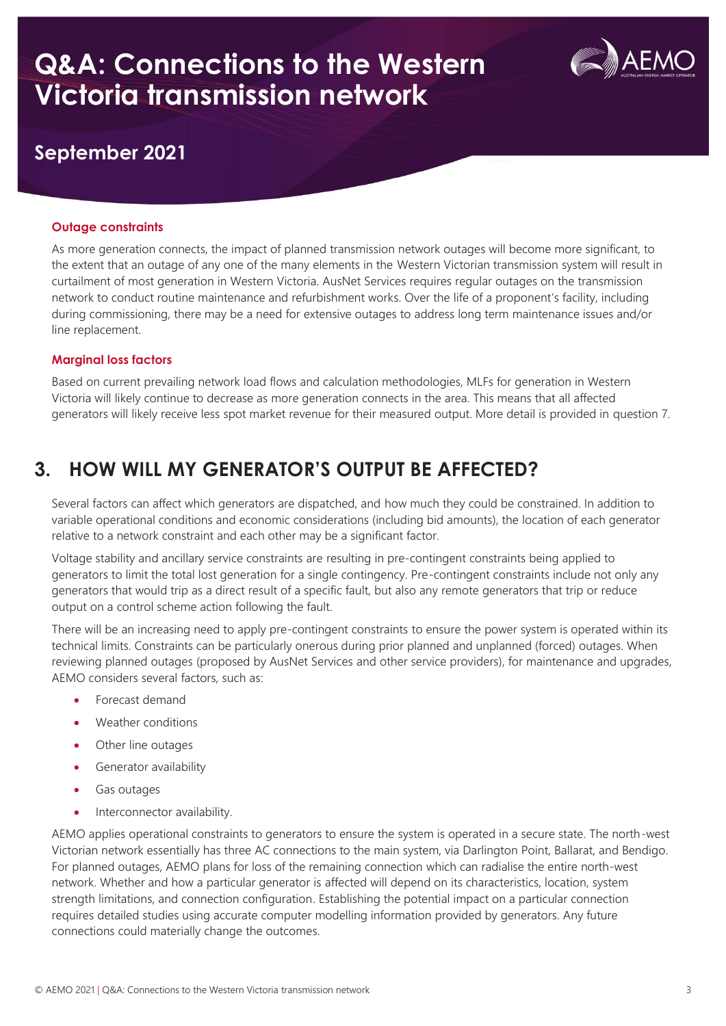

### **September 2021**

#### **Outage constraints**

As more generation connects, the impact of planned transmission network outages will become more significant, to the extent that an outage of any one of the many elements in the Western Victorian transmission system will result in curtailment of most generation in Western Victoria. AusNet Services requires regular outages on the transmission network to conduct routine maintenance and refurbishment works. Over the life of a proponent's facility, including during commissioning, there may be a need for extensive outages to address long term maintenance issues and/or line replacement.

#### **Marginal loss factors**

Based on current prevailing network load flows and calculation methodologies, MLFs for generation in Western Victoria will likely continue to decrease as more generation connects in the area. This means that all affected generators will likely receive less spot market revenue for their measured output. More detail is provided in question 7.

## **3. HOW WILL MY GENERATOR'S OUTPUT BE AFFECTED?**

Several factors can affect which generators are dispatched, and how much they could be constrained. In addition to variable operational conditions and economic considerations (including bid amounts), the location of each generator relative to a network constraint and each other may be a significant factor.

Voltage stability and ancillary service constraints are resulting in pre-contingent constraints being applied to generators to limit the total lost generation for a single contingency. Pre-contingent constraints include not only any generators that would trip as a direct result of a specific fault, but also any remote generators that trip or reduce output on a control scheme action following the fault.

There will be an increasing need to apply pre-contingent constraints to ensure the power system is operated within its technical limits. Constraints can be particularly onerous during prior planned and unplanned (forced) outages. When reviewing planned outages (proposed by AusNet Services and other service providers), for maintenance and upgrades, AEMO considers several factors, such as:

- Forecast demand
- Weather conditions
- Other line outages
- Generator availability
- Gas outages
- Interconnector availability.

AEMO applies operational constraints to generators to ensure the system is operated in a secure state. The north-west Victorian network essentially has three AC connections to the main system, via Darlington Point, Ballarat, and Bendigo. For planned outages, AEMO plans for loss of the remaining connection which can radialise the entire north-west network. Whether and how a particular generator is affected will depend on its characteristics, location, system strength limitations, and connection configuration. Establishing the potential impact on a particular connection requires detailed studies using accurate computer modelling information provided by generators. Any future connections could materially change the outcomes.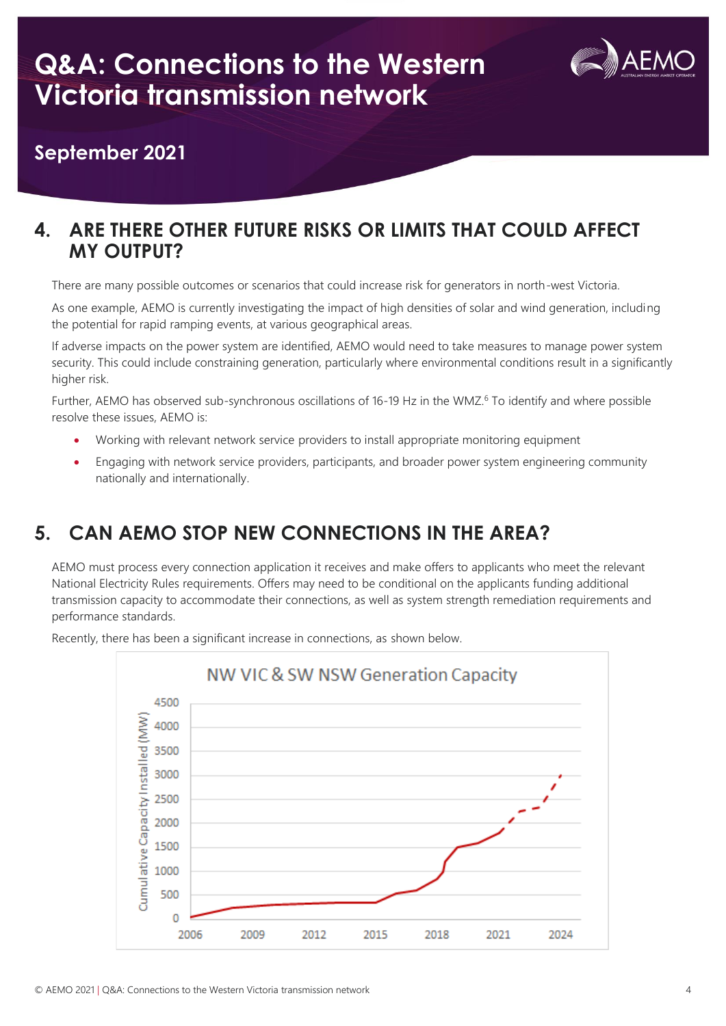

**September 2021**

### **4. ARE THERE OTHER FUTURE RISKS OR LIMITS THAT COULD AFFECT MY OUTPUT?**

There are many possible outcomes or scenarios that could increase risk for generators in north-west Victoria.

As one example, AEMO is currently investigating the impact of high densities of solar and wind generation, including the potential for rapid ramping events, at various geographical areas.

If adverse impacts on the power system are identified, AEMO would need to take measures to manage power system security. This could include constraining generation, particularly where environmental conditions result in a significantly higher risk.

Further, AEMO has observed sub-synchronous oscillations of 16-19 Hz in the WMZ.<sup>6</sup> To identify and where possible resolve these issues, AEMO is:

- Working with relevant network service providers to install appropriate monitoring equipment
- Engaging with network service providers, participants, and broader power system engineering community nationally and internationally.

## **5. CAN AEMO STOP NEW CONNECTIONS IN THE AREA?**

AEMO must process every connection application it receives and make offers to applicants who meet the relevant National Electricity Rules requirements. Offers may need to be conditional on the applicants funding additional transmission capacity to accommodate their connections, as well as system strength remediation requirements and performance standards.



Recently, there has been a significant increase in connections, as shown below.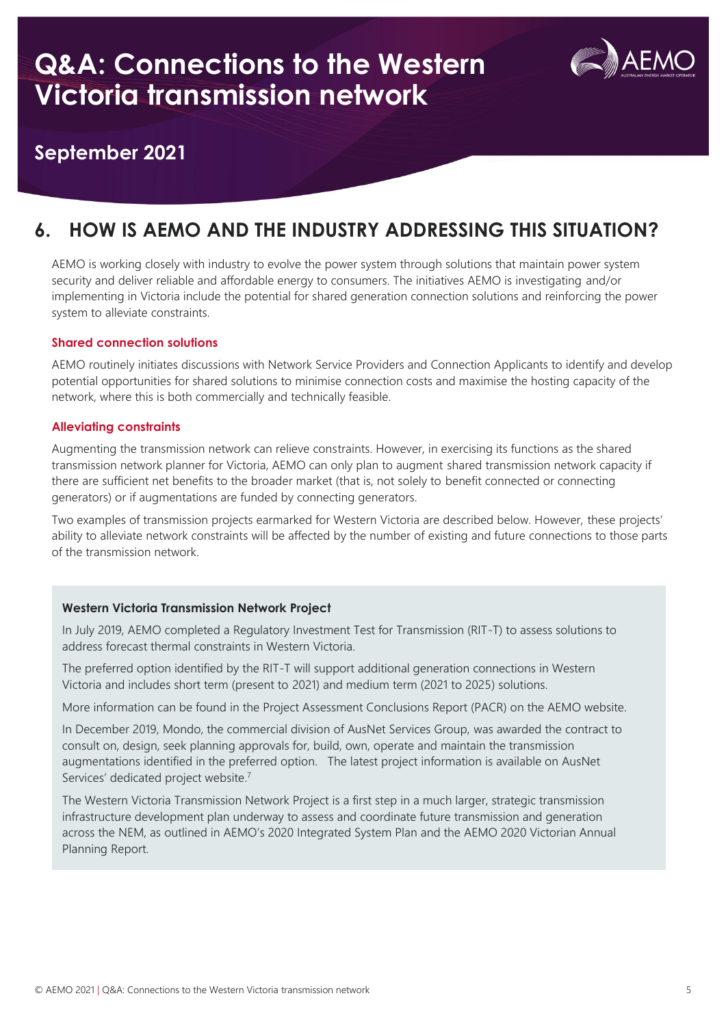

#### **September 2021**

## **6. HOW IS AEMO AND THE INDUSTRY ADDRESSING THIS SITUATION?**

AEMO is working closely with industry to evolve the power system through solutions that maintain power system security and deliver reliable and affordable energy to consumers. The initiatives AEMO is investigating and/or implementing in Victoria include the potential for shared generation connection solutions and reinforcing the power system to alleviate constraints.

#### **Shared connection solutions**

AEMO routinely initiates discussions with Network Service Providers and Connection Applicants to identify and develop potential opportunities for shared solutions to minimise connection costs and maximise the hosting capacity of the network, where this is both commercially and technically feasible.

#### **Alleviating constraints**

Augmenting the transmission network can relieve constraints. However, in exercising its functions as the shared transmission network planner for Victoria, AEMO can only plan to augment shared transmission network capacity if there are sufficient net benefits to the broader market (that is, not solely to benefit connected or connecting generators) or if augmentations are funded by connecting generators.

Two examples of transmission projects earmarked for Western Victoria are described below. However, these projects' ability to alleviate network constraints will be affected by the number of existing and future connections to those parts of the transmission network.

#### **Western Victoria Transmission Network Project**

In July 2019, AEMO completed a Regulatory Investment Test for Transmission (RIT-T) to assess solutions to address forecast thermal constraints in Western Victoria.

The preferred option identified by the RIT-T will support additional generation connections in Western Victoria and includes short term (present to 2021) and medium term (2021 to 2025) solutions.

More information can be found in the Project Assessment Conclusions Report (PACR) on the AEMO website.

In December 2019, Mondo, the commercial division of AusNet Services Group, was awarded the contract to consult on, design, seek planning approvals for, build, own, operate and maintain the transmission augmentations identified in the preferred option. The latest project information is available on AusNet Services' dedicated project website.<sup>7</sup>

The Western Victoria Transmission Network Project is a first step in a much larger, strategic transmission infrastructure development plan underway to assess and coordinate future transmission and generation across the NEM, as outlined in AEMO's 2020 Integrated System Plan and the AEMO 2020 Victorian Annual Planning Report.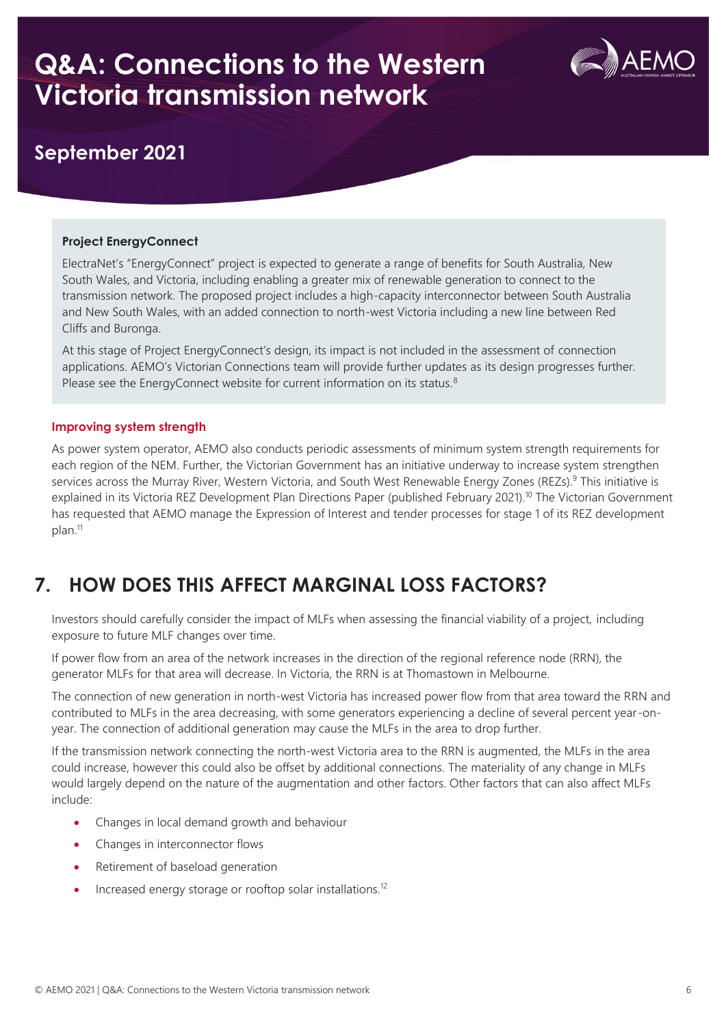

### **September 2021**

#### **Project EnergyConnect**

ElectraNet's "EnergyConnect" project is expected to generate a range of benefits for South Australia, New South Wales, and Victoria, including enabling a greater mix of renewable generation to connect to the transmission network. The proposed project includes a high-capacity interconnector between South Australia and New South Wales, with an added connection to north-west Victoria including a new line between Red Cliffs and Buronga.

At this stage of Project EnergyConnect's design, its impact is not included in the assessment of connection applications. AEMO's Victorian Connections team will provide further updates as its design progresses further. Please see the EnergyConnect website for current information on its status.<sup>8</sup>

#### **Improving system strength**

As power system operator, AEMO also conducts periodic assessments of minimum system strength requirements for each region of the NEM. Further, the Victorian Government has an initiative underway to increase system strengthen services across the Murray River, Western Victoria, and South West Renewable Energy Zones (REZs).<sup>9</sup> This initiative is explained in its Victoria REZ Development Plan Directions Paper (published February 2021).<sup>10</sup> The Victorian Government has requested that AEMO manage the Expression of Interest and tender processes for stage 1 of its REZ development plan. 11

### **7. HOW DOES THIS AFFECT MARGINAL LOSS FACTORS?**

Investors should carefully consider the impact of MLFs when assessing the financial viability of a project, including exposure to future MLF changes over time.

If power flow from an area of the network increases in the direction of the regional reference node (RRN), the generator MLFs for that area will decrease. In Victoria, the RRN is at Thomastown in Melbourne.

The connection of new generation in north-west Victoria has increased power flow from that area toward the RRN and contributed to MLFs in the area decreasing, with some generators experiencing a decline of several percent year-onyear. The connection of additional generation may cause the MLFs in the area to drop further.

If the transmission network connecting the north-west Victoria area to the RRN is augmented, the MLFs in the area could increase, however this could also be offset by additional connections. The materiality of any change in MLFs would largely depend on the nature of the augmentation and other factors. Other factors that can also affect MLFs include:

- Changes in local demand growth and behaviour
- Changes in interconnector flows
- Retirement of baseload generation
- Increased energy storage or rooftop solar installations.<sup>12</sup>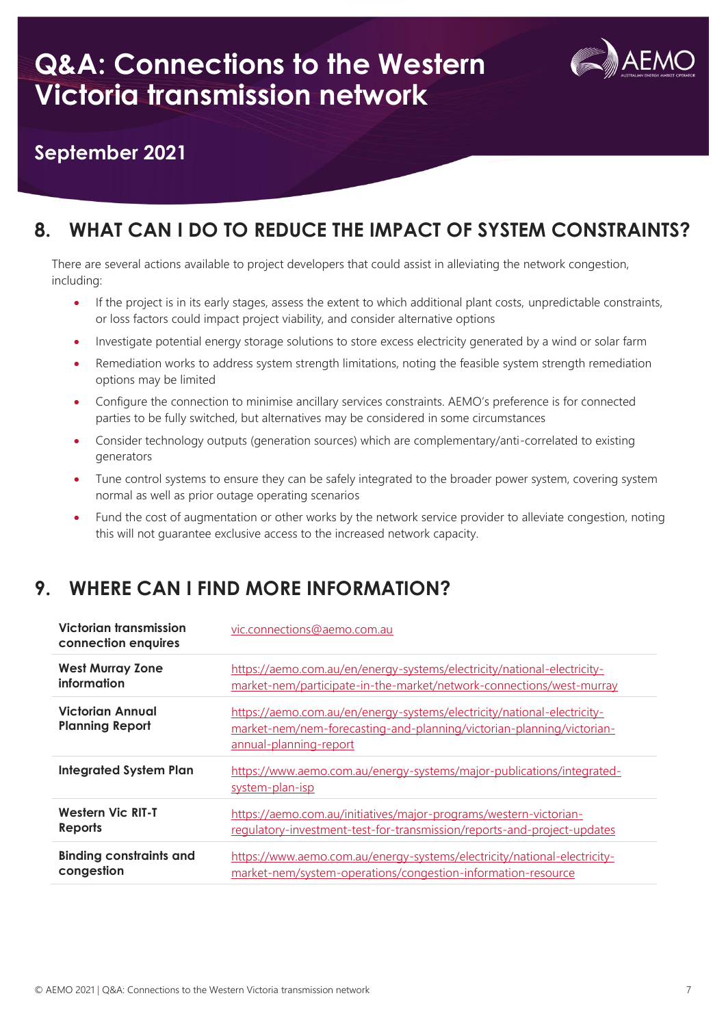

### **September 2021**

## **8. WHAT CAN I DO TO REDUCE THE IMPACT OF SYSTEM CONSTRAINTS?**

There are several actions available to project developers that could assist in alleviating the network congestion, including:

- If the project is in its early stages, assess the extent to which additional plant costs, unpredictable constraints, or loss factors could impact project viability, and consider alternative options
- Investigate potential energy storage solutions to store excess electricity generated by a wind or solar farm
- Remediation works to address system strength limitations, noting the feasible system strength remediation options may be limited
- Configure the connection to minimise ancillary services constraints. AEMO's preference is for connected parties to be fully switched, but alternatives may be considered in some circumstances
- Consider technology outputs (generation sources) which are complementary/anti-correlated to existing generators
- Tune control systems to ensure they can be safely integrated to the broader power system, covering system normal as well as prior outage operating scenarios
- Fund the cost of augmentation or other works by the network service provider to alleviate congestion, noting this will not guarantee exclusive access to the increased network capacity.

## **9. WHERE CAN I FIND MORE INFORMATION?**

| Victorian transmission<br>connection enquires | vic.connections@aemo.com.au                                                                                                                                                |
|-----------------------------------------------|----------------------------------------------------------------------------------------------------------------------------------------------------------------------------|
| <b>West Murray Zone</b>                       | https://aemo.com.au/en/energy-systems/electricity/national-electricity-                                                                                                    |
| information                                   | market-nem/participate-in-the-market/network-connections/west-murray                                                                                                       |
| Victorian Annual<br><b>Planning Report</b>    | https://aemo.com.au/en/energy-systems/electricity/national-electricity-<br>market-nem/nem-forecasting-and-planning/victorian-planning/victorian-<br>annual-planning-report |
| <b>Integrated System Plan</b>                 | https://www.aemo.com.au/energy-systems/major-publications/integrated-<br>system-plan-isp                                                                                   |
| <b>Western Vic RIT-T</b>                      | https://aemo.com.au/initiatives/major-programs/western-victorian-                                                                                                          |
| <b>Reports</b>                                | requlatory-investment-test-for-transmission/reports-and-project-updates                                                                                                    |
| <b>Binding constraints and</b>                | https://www.aemo.com.au/energy-systems/electricity/national-electricity-                                                                                                   |
| congestion                                    | market-nem/system-operations/congestion-information-resource                                                                                                               |